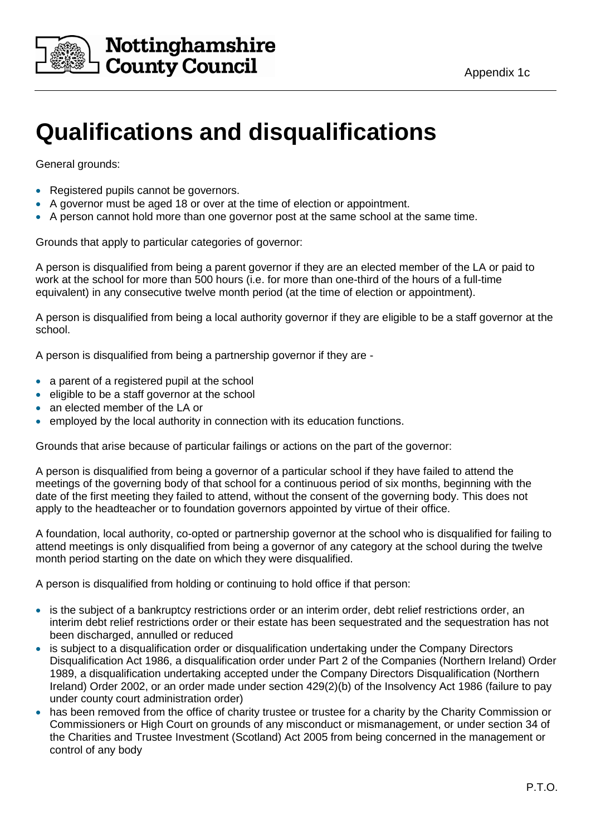

## **Qualifications and disqualifications**

General grounds:

- Registered pupils cannot be governors.
- A governor must be aged 18 or over at the time of election or appointment.
- A person cannot hold more than one governor post at the same school at the same time.

Grounds that apply to particular categories of governor:

A person is disqualified from being a parent governor if they are an elected member of the LA or paid to work at the school for more than 500 hours (i.e. for more than one-third of the hours of a full-time equivalent) in any consecutive twelve month period (at the time of election or appointment).

A person is disqualified from being a local authority governor if they are eligible to be a staff governor at the school.

A person is disqualified from being a partnership governor if they are -

- a parent of a registered pupil at the school
- eligible to be a staff governor at the school
- an elected member of the LA or
- employed by the local authority in connection with its education functions.

Grounds that arise because of particular failings or actions on the part of the governor:

A person is disqualified from being a governor of a particular school if they have failed to attend the meetings of the governing body of that school for a continuous period of six months, beginning with the date of the first meeting they failed to attend, without the consent of the governing body. This does not apply to the headteacher or to foundation governors appointed by virtue of their office.

A foundation, local authority, co-opted or partnership governor at the school who is disqualified for failing to attend meetings is only disqualified from being a governor of any category at the school during the twelve month period starting on the date on which they were disqualified.

A person is disqualified from holding or continuing to hold office if that person:

- is the subject of a bankruptcy restrictions order or an interim order, debt relief restrictions order, an interim debt relief restrictions order or their estate has been sequestrated and the sequestration has not been discharged, annulled or reduced
- is subject to a disqualification order or disqualification undertaking under the Company Directors Disqualification Act 1986, a disqualification order under Part 2 of the Companies (Northern Ireland) Order 1989, a disqualification undertaking accepted under the Company Directors Disqualification (Northern Ireland) Order 2002, or an order made under section 429(2)(b) of the Insolvency Act 1986 (failure to pay under county court administration order)
- has been removed from the office of charity trustee or trustee for a charity by the Charity Commission or Commissioners or High Court on grounds of any misconduct or mismanagement, or under section 34 of the Charities and Trustee Investment (Scotland) Act 2005 from being concerned in the management or control of any body